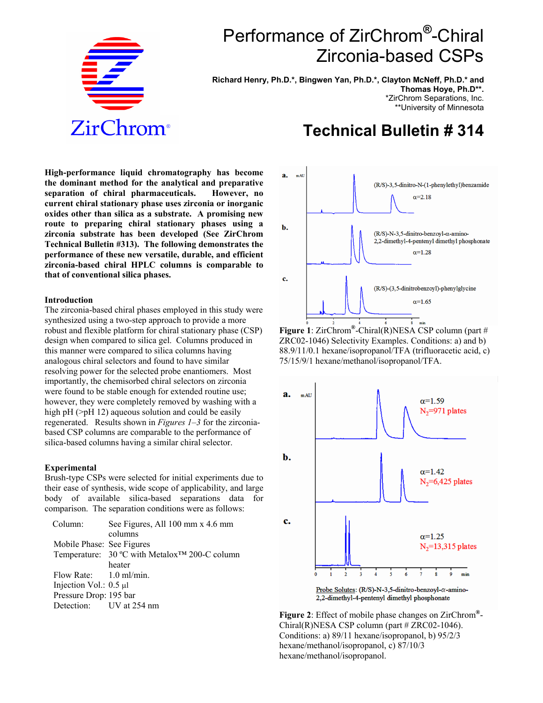

# Performance of ZirChrom**®**-Chiral Zirconia-based CSPs

**Richard Henry, Ph.D.\*, Bingwen Yan, Ph.D.\*, Clayton McNeff, Ph.D.\* and Thomas Hoye, Ph.D\*\*.** \*ZirChrom Separations, Inc. \*\*University of Minnesota

## **Technical Bulletin # 314**

**High-performance liquid chromatography has become the dominant method for the analytical and preparative separation of chiral pharmaceuticals. However, no current chiral stationary phase uses zirconia or inorganic oxides other than silica as a substrate. A promising new route to preparing chiral stationary phases using a zirconia substrate has been developed (See ZirChrom Technical Bulletin #313). The following demonstrates the performance of these new versatile, durable, and efficient zirconia-based chiral HPLC columns is comparable to that of conventional silica phases.**

#### **Introduction**

The zirconia-based chiral phases employed in this study were synthesized using a two-step approach to provide a more robust and flexible platform for chiral stationary phase (CSP) design when compared to silica gel. Columns produced in this manner were compared to silica columns having analogous chiral selectors and found to have similar resolving power for the selected probe enantiomers. Most importantly, the chemisorbed chiral selectors on zirconia were found to be stable enough for extended routine use; however, they were completely removed by washing with a high pH (>pH 12) aqueous solution and could be easily regenerated. Results shown in *Figures 1–3* for the zirconiabased CSP columns are comparable to the performance of silica-based columns having a similar chiral selector.

#### **Experimental**

Brush-type CSPs were selected for initial experiments due to their ease of synthesis, wide scope of applicability, and large body of available silica-based separations data for comparison. The separation conditions were as follows:

| Column:                     | See Figures, All 100 mm x 4.6 mm                          |
|-----------------------------|-----------------------------------------------------------|
|                             | columns                                                   |
| Mobile Phase: See Figures   |                                                           |
|                             | Temperature: 30 °C with Metalox <sup>™</sup> 200-C column |
|                             | heater                                                    |
| Flow Rate: $1.0$ ml/min.    |                                                           |
| Injection Vol.: $0.5 \mu l$ |                                                           |
| Pressure Drop: 195 bar      |                                                           |
| Detection: UV at 254 nm     |                                                           |
|                             |                                                           |



**Figure 1**: ZirChrom**®**-Chiral(R)NESA CSP column (part # ZRC02-1046) Selectivity Examples. Conditions: a) and b) 88.9/11/0.1 hexane/isopropanol/TFA (trifluoracetic acid, c) 75/15/9/1 hexane/methanol/isopropanol/TFA.



**Figure 2**: Effect of mobile phase changes on ZirChrom**®**-  $Chiral(R)NESA CSP column (part # ZRC02-1046).$ Conditions: a) 89/11 hexane/isopropanol, b) 95/2/3 hexane/methanol/isopropanol, c) 87/10/3 hexane/methanol/isopropanol.